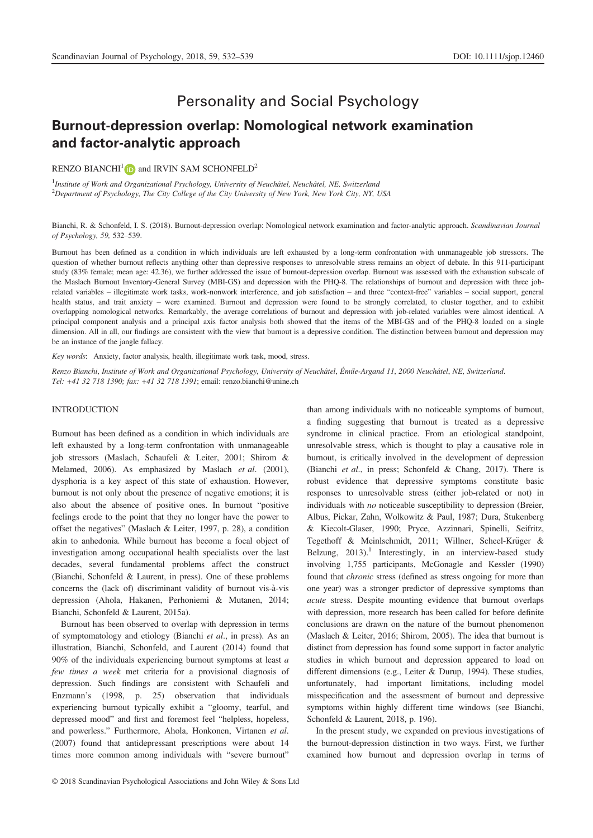# Personality and Social Psychology

# Burnout-depression overlap: Nomological network examination and factor-analytic approach

RENZO BIANCHI<sup>[1](http://orcid.org/0000-0003-2336-0407)</sup> and IRVIN SAM SCHONFELD<sup>2</sup>

<sup>1</sup>Institute of Work and Organizational Psychology, University of Neuchâtel, Neuchâtel, NE, Switzerland  $^{2}$ Department of Psychology, The City College of the City University of New York, New York City, NY, USA

Bianchi, R. & Schonfeld, I. S. (2018). Burnout-depression overlap: Nomological network examination and factor-analytic approach. Scandinavian Journal of Psychology, 59, 532–539.

Burnout has been defined as a condition in which individuals are left exhausted by a long-term confrontation with unmanageable job stressors. The question of whether burnout reflects anything other than depressive responses to unresolvable stress remains an object of debate. In this 911-participant study (83% female; mean age: 42.36), we further addressed the issue of burnout-depression overlap. Burnout was assessed with the exhaustion subscale of the Maslach Burnout Inventory-General Survey (MBI-GS) and depression with the PHQ-8. The relationships of burnout and depression with three jobrelated variables – illegitimate work tasks, work-nonwork interference, and job satisfaction – and three "context-free" variables – social support, general health status, and trait anxiety – were examined. Burnout and depression were found to be strongly correlated, to cluster together, and to exhibit overlapping nomological networks. Remarkably, the average correlations of burnout and depression with job-related variables were almost identical. A principal component analysis and a principal axis factor analysis both showed that the items of the MBI-GS and of the PHQ-8 loaded on a single dimension. All in all, our findings are consistent with the view that burnout is a depressive condition. The distinction between burnout and depression may be an instance of the jangle fallacy.

Key words: Anxiety, factor analysis, health, illegitimate work task, mood, stress.

Renzo Bianchi, Institute of Work and Organizational Psychology, University of Neuchâtel, Émile-Argand 11, 2000 Neuchâtel, NE, Switzerland. Tel: +41 32 718 1390; fax: +41 32 718 1391; email: renzo.bianchi@unine.ch

# INTRODUCTION

Burnout has been defined as a condition in which individuals are left exhausted by a long-term confrontation with unmanageable job stressors (Maslach, Schaufeli & Leiter, 2001; Shirom & Melamed, 2006). As emphasized by Maslach et al. (2001), dysphoria is a key aspect of this state of exhaustion. However, burnout is not only about the presence of negative emotions; it is also about the absence of positive ones. In burnout "positive feelings erode to the point that they no longer have the power to offset the negatives" (Maslach & Leiter, 1997, p. 28), a condition akin to anhedonia. While burnout has become a focal object of investigation among occupational health specialists over the last decades, several fundamental problems affect the construct (Bianchi, Schonfeld & Laurent, in press). One of these problems concerns the (lack of) discriminant validity of burnout vis-à-vis depression (Ahola, Hakanen, Perhoniemi & Mutanen, 2014; Bianchi, Schonfeld & Laurent, 2015a).

Burnout has been observed to overlap with depression in terms of symptomatology and etiology (Bianchi et al., in press). As an illustration, Bianchi, Schonfeld, and Laurent (2014) found that 90% of the individuals experiencing burnout symptoms at least  $a$ few times a week met criteria for a provisional diagnosis of depression. Such findings are consistent with Schaufeli and Enzmann's (1998, p. 25) observation that individuals experiencing burnout typically exhibit a "gloomy, tearful, and depressed mood" and first and foremost feel "helpless, hopeless, and powerless." Furthermore, Ahola, Honkonen, Virtanen et al. (2007) found that antidepressant prescriptions were about 14 times more common among individuals with "severe burnout" than among individuals with no noticeable symptoms of burnout, a finding suggesting that burnout is treated as a depressive syndrome in clinical practice. From an etiological standpoint, unresolvable stress, which is thought to play a causative role in burnout, is critically involved in the development of depression (Bianchi et al., in press; Schonfeld & Chang, 2017). There is robust evidence that depressive symptoms constitute basic responses to unresolvable stress (either job-related or not) in individuals with no noticeable susceptibility to depression (Breier, Albus, Pickar, Zahn, Wolkowitz & Paul, 1987; Dura, Stukenberg & Kiecolt-Glaser, 1990; Pryce, Azzinnari, Spinelli, Seifritz, Tegethoff & Meinlschmidt, 2011; Willner, Scheel-Krüger & Belzung,  $2013$ ).<sup>1</sup> Interestingly, in an interview-based study involving 1,755 participants, McGonagle and Kessler (1990) found that chronic stress (defined as stress ongoing for more than one year) was a stronger predictor of depressive symptoms than acute stress. Despite mounting evidence that burnout overlaps with depression, more research has been called for before definite conclusions are drawn on the nature of the burnout phenomenon (Maslach & Leiter, 2016; Shirom, 2005). The idea that burnout is distinct from depression has found some support in factor analytic studies in which burnout and depression appeared to load on different dimensions (e.g., Leiter & Durup, 1994). These studies, unfortunately, had important limitations, including model misspecification and the assessment of burnout and depressive symptoms within highly different time windows (see Bianchi, Schonfeld & Laurent, 2018, p. 196).

In the present study, we expanded on previous investigations of the burnout-depression distinction in two ways. First, we further examined how burnout and depression overlap in terms of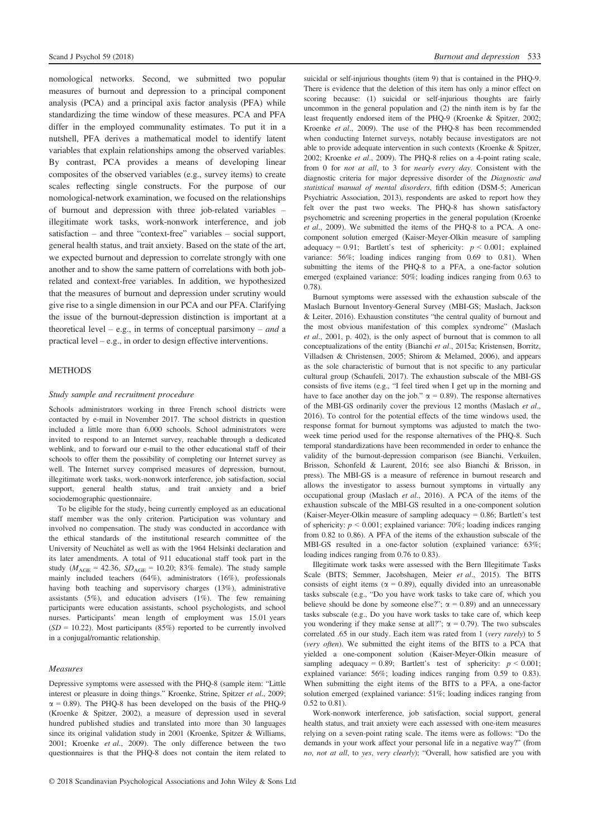nomological networks. Second, we submitted two popular measures of burnout and depression to a principal component analysis (PCA) and a principal axis factor analysis (PFA) while standardizing the time window of these measures. PCA and PFA differ in the employed communality estimates. To put it in a nutshell, PFA derives a mathematical model to identify latent variables that explain relationships among the observed variables. By contrast, PCA provides a means of developing linear composites of the observed variables (e.g., survey items) to create scales reflecting single constructs. For the purpose of our nomological-network examination, we focused on the relationships of burnout and depression with three job-related variables – illegitimate work tasks, work-nonwork interference, and job satisfaction – and three "context-free" variables – social support, general health status, and trait anxiety. Based on the state of the art, we expected burnout and depression to correlate strongly with one another and to show the same pattern of correlations with both jobrelated and context-free variables. In addition, we hypothesized that the measures of burnout and depression under scrutiny would give rise to a single dimension in our PCA and our PFA. Clarifying the issue of the burnout-depression distinction is important at a theoretical level – e.g., in terms of conceptual parsimony – and a practical level – e.g., in order to design effective interventions.

# METHODS

## Study sample and recruitment procedure

Schools administrators working in three French school districts were contacted by e-mail in November 2017. The school districts in question included a little more than 6,000 schools. School administrators were invited to respond to an Internet survey, reachable through a dedicated weblink, and to forward our e-mail to the other educational staff of their schools to offer them the possibility of completing our Internet survey as well. The Internet survey comprised measures of depression, burnout, illegitimate work tasks, work-nonwork interference, job satisfaction, social support, general health status, and trait anxiety and a brief sociodemographic questionnaire.

To be eligible for the study, being currently employed as an educational staff member was the only criterion. Participation was voluntary and involved no compensation. The study was conducted in accordance with the ethical standards of the institutional research committee of the University of Neuchâtel as well as with the 1964 Helsinki declaration and its later amendments. A total of 911 educational staff took part in the study ( $M_{\text{AGE}} = 42.36$ ,  $SD_{\text{AGE}} = 10.20$ ; 83% female). The study sample mainly included teachers (64%), administrators (16%), professionals having both teaching and supervisory charges (13%), administrative assistants  $(5\%)$ , and education advisers  $(1\%)$ . The few remaining participants were education assistants, school psychologists, and school nurses. Participants' mean length of employment was 15.01 years  $(SD = 10.22)$ . Most participants (85%) reported to be currently involved in a conjugal/romantic relationship.

## Measures

Depressive symptoms were assessed with the PHQ-8 (sample item: "Little interest or pleasure in doing things." Kroenke, Strine, Spitzer et al., 2009;  $\alpha$  = 0.89). The PHQ-8 has been developed on the basis of the PHQ-9 (Kroenke & Spitzer, 2002), a measure of depression used in several hundred published studies and translated into more than 30 languages since its original validation study in 2001 (Kroenke, Spitzer & Williams, 2001; Kroenke et al., 2009). The only difference between the two questionnaires is that the PHQ-8 does not contain the item related to suicidal or self-injurious thoughts (item 9) that is contained in the PHQ-9. There is evidence that the deletion of this item has only a minor effect on scoring because: (1) suicidal or self-injurious thoughts are fairly uncommon in the general population and (2) the ninth item is by far the least frequently endorsed item of the PHQ-9 (Kroenke & Spitzer, 2002; Kroenke et al., 2009). The use of the PHQ-8 has been recommended when conducting Internet surveys, notably because investigators are not able to provide adequate intervention in such contexts (Kroenke & Spitzer, 2002; Kroenke et al., 2009). The PHQ-8 relies on a 4-point rating scale, from 0 for not at all, to 3 for nearly every day. Consistent with the diagnostic criteria for major depressive disorder of the Diagnostic and statistical manual of mental disorders, fifth edition (DSM-5; American Psychiatric Association, 2013), respondents are asked to report how they felt over the past two weeks. The PHQ-8 has shown satisfactory psychometric and screening properties in the general population (Kroenke et al., 2009). We submitted the items of the PHQ-8 to a PCA. A onecomponent solution emerged (Kaiser-Meyer-Olkin measure of sampling adequacy = 0.91; Bartlett's test of sphericity:  $p < 0.001$ ; explained variance: 56%; loading indices ranging from 0.69 to 0.81). When submitting the items of the PHQ-8 to a PFA, a one-factor solution emerged (explained variance: 50%; loading indices ranging from 0.63 to 0.78).

Burnout symptoms were assessed with the exhaustion subscale of the Maslach Burnout Inventory-General Survey (MBI-GS; Maslach, Jackson & Leiter, 2016). Exhaustion constitutes "the central quality of burnout and the most obvious manifestation of this complex syndrome" (Maslach et al., 2001, p. 402), is the only aspect of burnout that is common to all conceptualizations of the entity (Bianchi et al., 2015a; Kristensen, Borritz, Villadsen & Christensen, 2005; Shirom & Melamed, 2006), and appears as the sole characteristic of burnout that is not specific to any particular cultural group (Schaufeli, 2017). The exhaustion subscale of the MBI-GS consists of five items (e.g., "I feel tired when I get up in the morning and have to face another day on the job."  $\alpha = 0.89$ ). The response alternatives of the MBI-GS ordinarily cover the previous 12 months (Maslach et al., 2016). To control for the potential effects of the time windows used, the response format for burnout symptoms was adjusted to match the twoweek time period used for the response alternatives of the PHQ-8. Such temporal standardizations have been recommended in order to enhance the validity of the burnout-depression comparison (see Bianchi, Verkuilen, Brisson, Schonfeld & Laurent, 2016; see also Bianchi & Brisson, in press). The MBI-GS is a measure of reference in burnout research and allows the investigator to assess burnout symptoms in virtually any occupational group (Maslach et al., 2016). A PCA of the items of the exhaustion subscale of the MBI-GS resulted in a one-component solution (Kaiser-Meyer-Olkin measure of sampling adequacy = 0.86; Bartlett's test of sphericity:  $p < 0.001$ ; explained variance: 70%; loading indices ranging from 0.82 to 0.86). A PFA of the items of the exhaustion subscale of the MBI-GS resulted in a one-factor solution (explained variance: 63%; loading indices ranging from 0.76 to 0.83).

Illegitimate work tasks were assessed with the Bern Illegitimate Tasks Scale (BITS; Semmer, Jacobshagen, Meier et al., 2015). The BITS consists of eight items ( $\alpha$  = 0.89), equally divided into an unreasonable tasks subscale (e.g., "Do you have work tasks to take care of, which you believe should be done by someone else?";  $\alpha = 0.89$ ) and an unnecessary tasks subscale (e.g., Do you have work tasks to take care of, which keep you wondering if they make sense at all?";  $\alpha = 0.79$ ). The two subscales correlated .65 in our study. Each item was rated from 1 (very rarely) to 5 (very often). We submitted the eight items of the BITS to a PCA that yielded a one-component solution (Kaiser-Meyer-Olkin measure of sampling adequacy = 0.89; Bartlett's test of sphericity:  $p < 0.001$ ; explained variance: 56%; loading indices ranging from 0.59 to 0.83). When submitting the eight items of the BITS to a PFA, a one-factor solution emerged (explained variance: 51%; loading indices ranging from 0.52 to 0.81).

Work-nonwork interference, job satisfaction, social support, general health status, and trait anxiety were each assessed with one-item measures relying on a seven-point rating scale. The items were as follows: "Do the demands in your work affect your personal life in a negative way?" (from no, not at all, to yes, very clearly); "Overall, how satisfied are you with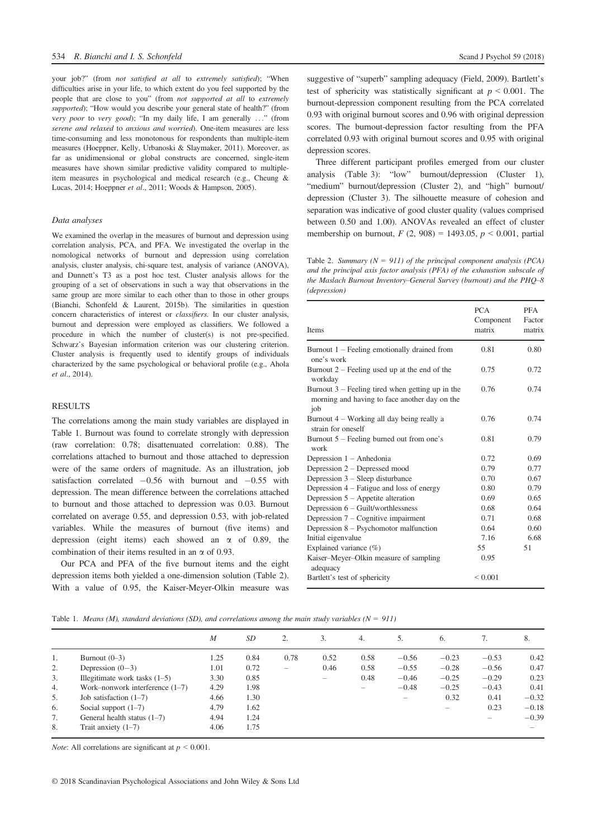your job?" (from not satisfied at all to extremely satisfied); "When difficulties arise in your life, to which extent do you feel supported by the people that are close to you" (from not supported at all to extremely supported); "How would you describe your general state of health?" (from very poor to very good); "In my daily life, I am generally ..." (from serene and relaxed to anxious and worried). One-item measures are less time-consuming and less monotonous for respondents than multiple-item measures (Hoeppner, Kelly, Urbanoski & Slaymaker, 2011). Moreover, as far as unidimensional or global constructs are concerned, single-item measures have shown similar predictive validity compared to multipleitem measures in psychological and medical research (e.g., Cheung & Lucas, 2014; Hoeppner et al., 2011; Woods & Hampson, 2005).

## Data analyses

We examined the overlap in the measures of burnout and depression using correlation analysis, PCA, and PFA. We investigated the overlap in the nomological networks of burnout and depression using correlation analysis, cluster analysis, chi-square test, analysis of variance (ANOVA), and Dunnett's T3 as a post hoc test. Cluster analysis allows for the grouping of a set of observations in such a way that observations in the same group are more similar to each other than to those in other groups (Bianchi, Schonfeld & Laurent, 2015b). The similarities in question concern characteristics of interest or classifiers. In our cluster analysis, burnout and depression were employed as classifiers. We followed a procedure in which the number of cluster(s) is not pre-specified. Schwarz's Bayesian information criterion was our clustering criterion. Cluster analysis is frequently used to identify groups of individuals characterized by the same psychological or behavioral profile (e.g., Ahola et al., 2014).

# RESULTS

The correlations among the main study variables are displayed in Table 1. Burnout was found to correlate strongly with depression (raw correlation: 0.78; disattenuated correlation: 0.88). The correlations attached to burnout and those attached to depression were of the same orders of magnitude. As an illustration, job satisfaction correlated  $-0.56$  with burnout and  $-0.55$  with depression. The mean difference between the correlations attached to burnout and those attached to depression was 0.03. Burnout correlated on average 0.55, and depression 0.53, with job-related variables. While the measures of burnout (five items) and depression (eight items) each showed an  $\alpha$  of 0.89, the combination of their items resulted in an  $\alpha$  of 0.93.

Our PCA and PFA of the five burnout items and the eight depression items both yielded a one-dimension solution (Table 2). With a value of 0.95, the Kaiser-Meyer-Olkin measure was suggestive of "superb" sampling adequacy (Field, 2009). Bartlett's test of sphericity was statistically significant at  $p \le 0.001$ . The burnout-depression component resulting from the PCA correlated 0.93 with original burnout scores and 0.96 with original depression scores. The burnout-depression factor resulting from the PFA correlated 0.93 with original burnout scores and 0.95 with original depression scores.

Three different participant profiles emerged from our cluster analysis (Table 3): "low" burnout/depression (Cluster 1), "medium" burnout/depression (Cluster 2), and "high" burnout/ depression (Cluster 3). The silhouette measure of cohesion and separation was indicative of good cluster quality (values comprised between 0.50 and 1.00). ANOVAs revealed an effect of cluster membership on burnout,  $F(2, 908) = 1493.05$ ,  $p < 0.001$ , partial

Table 2. Summary ( $N = 911$ ) of the principal component analysis (PCA) and the principal axis factor analysis (PFA) of the exhaustion subscale of the Maslach Burnout Inventory–General Survey (burnout) and the PHQ–8 (depression)

| Items                                                                                                      | <b>PCA</b><br>Component<br>matrix | <b>PFA</b><br>Factor<br>matrix |
|------------------------------------------------------------------------------------------------------------|-----------------------------------|--------------------------------|
| Burnout 1 – Feeling emotionally drained from<br>one's work                                                 | 0.81                              | 0.80                           |
| Burnout $2$ – Feeling used up at the end of the<br>workday                                                 | 0.75                              | 0.72                           |
| Burnout $3$ – Feeling tired when getting up in the<br>morning and having to face another day on the<br>job | 0.76                              | 0.74                           |
| Burnout 4 – Working all day being really a<br>strain for oneself                                           | 0.76                              | 0.74                           |
| Burnout $5$ – Feeling burned out from one's<br>work                                                        | 0.81                              | 0.79                           |
| Depression $1 -$ Anhedonia                                                                                 | 0.72                              | 0.69                           |
| Depression 2 – Depressed mood                                                                              | 0.79                              | 0.77                           |
| Depression $3$ – Sleep disturbance                                                                         | 0.70                              | 0.67                           |
| Depression $4$ – Fatigue and loss of energy                                                                | 0.80                              | 0.79                           |
| Depression $5 -$ Appetite alteration                                                                       | 0.69                              | 0.65                           |
| Depression $6 -$ Guilt/worthlessness                                                                       | 0.68                              | 0.64                           |
| Depression $7 -$ Cognitive impairment                                                                      | 0.71                              | 0.68                           |
| Depression $8 -$ Psychomotor malfunction                                                                   | 0.64                              | 0.60                           |
| Initial eigenvalue                                                                                         | 7.16                              | 6.68                           |
| Explained variance (%)                                                                                     | 55                                | 51                             |
| Kaiser–Meyer–Olkin measure of sampling<br>adequacy                                                         | 0.95                              |                                |
| Bartlett's test of sphericity                                                                              | ${}_{0.001}$                      |                                |

Table 1. Means (M), standard deviations (SD), and correlations among the main study variables ( $N = 911$ )

|    |                                   | $\boldsymbol{M}$ | <i>SD</i> |      | 3.                       | 4.                       |                          | 6.                       | 7.      | 8.      |
|----|-----------------------------------|------------------|-----------|------|--------------------------|--------------------------|--------------------------|--------------------------|---------|---------|
| 1. | Burnout $(0-3)$                   | 1.25             | 0.84      | 0.78 | 0.52                     | 0.58                     | $-0.56$                  | $-0.23$                  | $-0.53$ | 0.42    |
| 2. | Depression $(0-3)$                | 1.01             | 0.72      |      | 0.46                     | 0.58                     | $-0.55$                  | $-0.28$                  | $-0.56$ | 0.47    |
| 3. | Illegitimate work tasks $(1-5)$   | 3.30             | 0.85      |      | $\overline{\phantom{a}}$ | 0.48                     | $-0.46$                  | $-0.25$                  | $-0.29$ | 0.23    |
| 4. | Work-nonwork interference $(1-7)$ | 4.29             | 1.98      |      |                          | $\overline{\phantom{a}}$ | $-0.48$                  | $-0.25$                  | $-0.43$ | 0.41    |
| 5. | Job satisfaction $(1-7)$          | 4.66             | 1.30      |      |                          |                          | $\overline{\phantom{a}}$ | 0.32                     | 0.41    | $-0.32$ |
| 6. | Social support $(1-7)$            | 4.79             | 1.62      |      |                          |                          |                          | $\overline{\phantom{a}}$ | 0.23    | $-0.18$ |
| 7. | General health status (1–7)       | 4.94             | 1.24      |      |                          |                          |                          |                          |         | $-0.39$ |
| 8. | Trait anxiety $(1-7)$             | 4.06             | 1.75      |      |                          |                          |                          |                          |         |         |

*Note:* All correlations are significant at  $p < 0.001$ .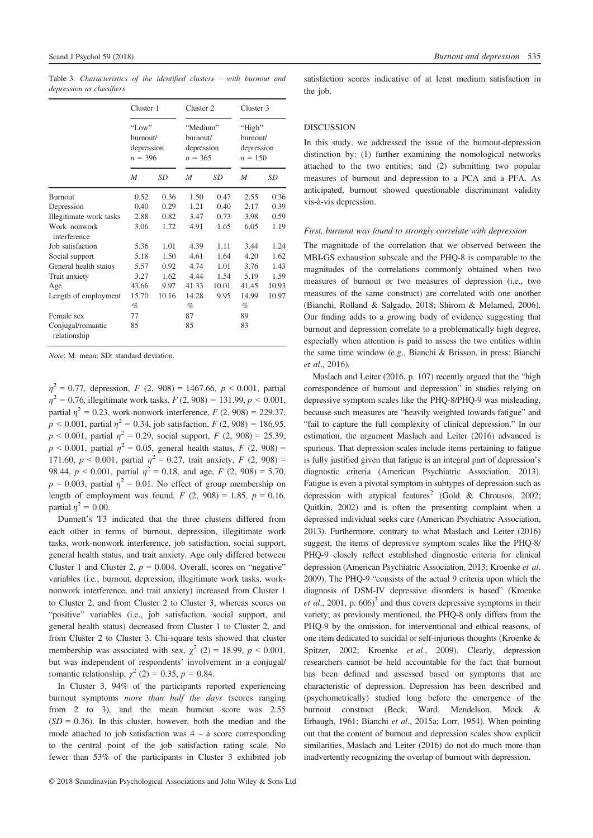|                                   | Cluster 1<br>"Low"<br>burnout/<br>depression<br>$n = 396$ |       | Cluster 2<br>"Medium"<br>burnout/<br>depression<br>$n = 365$ |       | Cluster 3<br>"High"<br>burnout/<br>depression<br>$n = 150$ |       |
|-----------------------------------|-----------------------------------------------------------|-------|--------------------------------------------------------------|-------|------------------------------------------------------------|-------|
|                                   |                                                           |       |                                                              |       |                                                            |       |
|                                   | M                                                         | SD    | M                                                            | SD    | $\boldsymbol{M}$                                           | SD    |
| <b>Burnout</b>                    | 0.52                                                      | 0.36  | 1.50                                                         | 0.47  | 2.55                                                       | 0.36  |
| Depression                        | 0.40                                                      | 0.29  | 1.21                                                         | 0.40  | 2.17                                                       | 0.39  |
| Illegitimate work tasks           | 2.88                                                      | 0.82  | 3.47                                                         | 0.73  | 3.98                                                       | 0.59  |
| Work-nonwork<br>interference      | 3.06                                                      | 1.72  | 4.91                                                         | 1.65  | 6.05                                                       | 1.19  |
| Job satisfaction                  | 5.36                                                      | 1.01  | 4.39                                                         | 1.11  | 3.44                                                       | 1.24  |
| Social support                    | 5.18                                                      | 1.50  | 4.61                                                         | 1.64  | 4.20                                                       | 1.62  |
| General health status             | 5.57                                                      | 0.92  | 4.74                                                         | 1.01  | 3.76                                                       | 1.43  |
| Trait anxiety                     | 3.27                                                      | 1.62  | 4.44                                                         | 1.54  | 5.19                                                       | 1.59  |
| Age                               | 43.66                                                     | 9.97  | 41.33                                                        | 10.01 | 41.45                                                      | 10.93 |
| Length of employment              | 15.70                                                     | 10.16 | 14.28                                                        | 9.95  | 14.99                                                      | 10.97 |
|                                   | $\%$                                                      |       | $\%$                                                         |       | $\%$                                                       |       |
| Female sex                        | 77                                                        |       | 87                                                           |       | 89                                                         |       |
| Conjugal/romantic<br>relationship | 85                                                        |       | 85                                                           |       | 83                                                         |       |

Table 3. Characteristics of the identified clusters – with burnout and depression as classifiers

Note: M: mean; SD: standard deviation.

 $\eta^2 = 0.77$ , depression, F (2, 908) = 1467.66, p < 0.001, partial  $\eta^2$  = 0.76, illegitimate work tasks,  $F(2, 908)$  = 131.99,  $p < 0.001$ , partial  $\eta^2 = 0.23$ , work-nonwork interference,  $F(2, 908) = 229.37$ ,  $p \le 0.001$ , partial  $\eta^2 = 0.34$ , job satisfaction,  $F(2, 908) = 186.95$ ,  $p < 0.001$ , partial  $\eta^2 = 0.29$ , social support,  $F(2, 908) = 25.39$ ,  $p < 0.001$ , partial  $\eta^2 = 0.05$ , general health status,  $F(2, 908) =$ 171.60,  $p < 0.001$ , partial  $\eta^2 = 0.27$ , trait anxiety,  $F(2, 908) =$ 98.44,  $p < 0.001$ , partial  $\eta^2 = 0.18$ , and age,  $F(2, 908) = 5.70$ ,  $p = 0.003$ , partial  $\eta^2 = 0.01$ . No effect of group membership on length of employment was found,  $F(2, 908) = 1.85$ ,  $p = 0.16$ , partial  $n^2 = 0.00$ .

Dunnett's T3 indicated that the three clusters differed from each other in terms of burnout, depression, illegitimate work tasks, work-nonwork interference, job satisfaction, social support, general health status, and trait anxiety. Age only differed between Cluster 1 and Cluster 2,  $p = 0.004$ . Overall, scores on "negative" variables (i.e., burnout, depression, illegitimate work tasks, worknonwork interference, and trait anxiety) increased from Cluster 1 to Cluster 2, and from Cluster 2 to Cluster 3, whereas scores on "positive" variables (i.e., job satisfaction, social support, and general health status) decreased from Cluster 1 to Cluster 2, and from Cluster 2 to Cluster 3. Chi-square tests showed that cluster membership was associated with sex,  $\gamma^2$  (2) = 18.99, p < 0.001, but was independent of respondents' involvement in a conjugal/ romantic relationship,  $\chi^2$  (2) = 0.35, p = 0.84.

In Cluster 3, 94% of the participants reported experiencing burnout symptoms *more than half the days* (scores ranging from 2 to 3), and the mean burnout score was 2.55  $(SD = 0.36)$ . In this cluster, however, both the median and the mode attached to job satisfaction was  $4 - a$  score corresponding to the central point of the job satisfaction rating scale. No fewer than 53% of the participants in Cluster 3 exhibited job satisfaction scores indicative of at least medium satisfaction in the job.

# DISCUSSION

In this study, we addressed the issue of the burnout-depression distinction by: (1) further examining the nomological networks attached to the two entities; and (2) submitting two popular measures of burnout and depression to a PCA and a PFA. As anticipated, burnout showed questionable discriminant validity vis-à-vis depression.

#### First, burnout was found to strongly correlate with depression

The magnitude of the correlation that we observed between the MBI-GS exhaustion subscale and the PHQ-8 is comparable to the magnitudes of the correlations commonly obtained when two measures of burnout or two measures of depression (i.e., two measures of the same construct) are correlated with one another (Bianchi, Rolland & Salgado, 2018; Shirom & Melamed, 2006). Our finding adds to a growing body of evidence suggesting that burnout and depression correlate to a problematically high degree, especially when attention is paid to assess the two entities within the same time window (e.g., Bianchi & Brisson, in press; Bianchi et al., 2016).

Maslach and Leiter (2016, p. 107) recently argued that the "high correspondence of burnout and depression" in studies relying on depressive symptom scales like the PHQ-8/PHQ-9 was misleading, because such measures are "heavily weighted towards fatigue" and "fail to capture the full complexity of clinical depression." In our estimation, the argument Maslach and Leiter (2016) advanced is spurious. That depression scales include items pertaining to fatigue is fully justified given that fatigue is an integral part of depression's diagnostic criteria (American Psychiatric Association, 2013). Fatigue is even a pivotal symptom in subtypes of depression such as depression with atypical features<sup>2</sup> (Gold & Chrousos, 2002; Quitkin, 2002) and is often the presenting complaint when a depressed individual seeks care (American Psychiatric Association, 2013). Furthermore, contrary to what Maslach and Leiter (2016) suggest, the items of depressive symptom scales like the PHQ-8/ PHQ-9 closely reflect established diagnostic criteria for clinical depression (American Psychiatric Association, 2013; Kroenke et al. 2009). The PHQ-9 "consists of the actual 9 criteria upon which the diagnosis of DSM-IV depressive disorders is based" (Kroenke *et al.*, 2001, p. 606)<sup>3</sup> and thus covers depressive symptoms in their variety; as previously mentioned, the PHQ-8 only differs from the PHQ-9 by the omission, for interventional and ethical reasons, of one item dedicated to suicidal or self-injurious thoughts (Kroenke & Spitzer, 2002; Kroenke et al., 2009). Clearly, depression researchers cannot be held accountable for the fact that burnout has been defined and assessed based on symptoms that are characteristic of depression. Depression has been described and (psychometrically) studied long before the emergence of the burnout construct (Beck, Ward, Mendelson, Mock & Erbaugh, 1961; Bianchi et al., 2015a; Lorr, 1954). When pointing out that the content of burnout and depression scales show explicit similarities, Maslach and Leiter (2016) do not do much more than inadvertently recognizing the overlap of burnout with depression.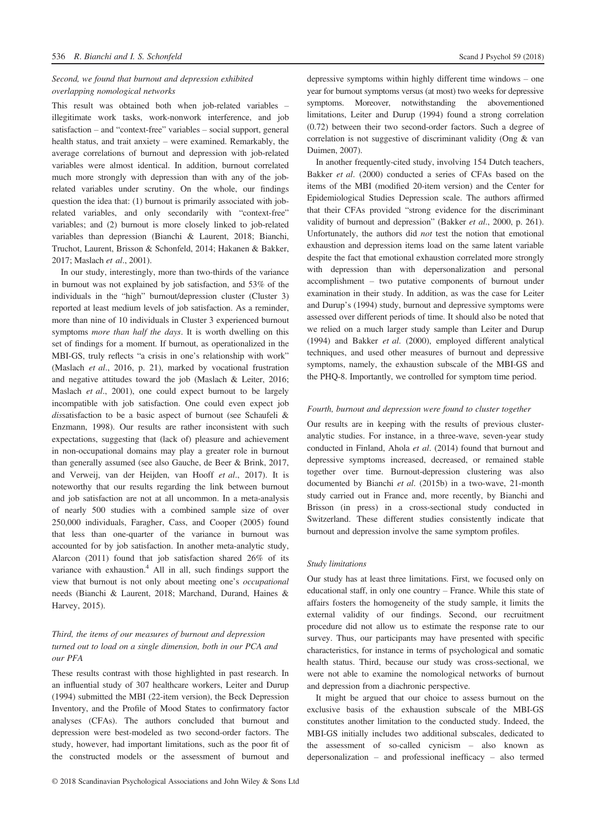# Second, we found that burnout and depression exhibited overlapping nomological networks

This result was obtained both when job-related variables – illegitimate work tasks, work-nonwork interference, and job satisfaction – and "context-free" variables – social support, general health status, and trait anxiety – were examined. Remarkably, the average correlations of burnout and depression with job-related variables were almost identical. In addition, burnout correlated much more strongly with depression than with any of the jobrelated variables under scrutiny. On the whole, our findings question the idea that: (1) burnout is primarily associated with jobrelated variables, and only secondarily with "context-free" variables; and (2) burnout is more closely linked to job-related variables than depression (Bianchi & Laurent, 2018; Bianchi, Truchot, Laurent, Brisson & Schonfeld, 2014; Hakanen & Bakker, 2017; Maslach et al., 2001).

In our study, interestingly, more than two-thirds of the variance in burnout was not explained by job satisfaction, and 53% of the individuals in the "high" burnout/depression cluster (Cluster 3) reported at least medium levels of job satisfaction. As a reminder, more than nine of 10 individuals in Cluster 3 experienced burnout symptoms more than half the days. It is worth dwelling on this set of findings for a moment. If burnout, as operationalized in the MBI-GS, truly reflects "a crisis in one's relationship with work" (Maslach et al., 2016, p. 21), marked by vocational frustration and negative attitudes toward the job (Maslach & Leiter, 2016; Maslach et al., 2001), one could expect burnout to be largely incompatible with job satisfaction. One could even expect job dissatisfaction to be a basic aspect of burnout (see Schaufeli & Enzmann, 1998). Our results are rather inconsistent with such expectations, suggesting that (lack of) pleasure and achievement in non-occupational domains may play a greater role in burnout than generally assumed (see also Gauche, de Beer & Brink, 2017, and Verweij, van der Heijden, van Hooff et al., 2017). It is noteworthy that our results regarding the link between burnout and job satisfaction are not at all uncommon. In a meta-analysis of nearly 500 studies with a combined sample size of over 250,000 individuals, Faragher, Cass, and Cooper (2005) found that less than one-quarter of the variance in burnout was accounted for by job satisfaction. In another meta-analytic study, Alarcon (2011) found that job satisfaction shared 26% of its variance with exhaustion.<sup>4</sup> All in all, such findings support the view that burnout is not only about meeting one's occupational needs (Bianchi & Laurent, 2018; Marchand, Durand, Haines & Harvey, 2015).

# Third, the items of our measures of burnout and depression turned out to load on a single dimension, both in our PCA and our PFA

These results contrast with those highlighted in past research. In an influential study of 307 healthcare workers, Leiter and Durup (1994) submitted the MBI (22-item version), the Beck Depression Inventory, and the Profile of Mood States to confirmatory factor analyses (CFAs). The authors concluded that burnout and depression were best-modeled as two second-order factors. The study, however, had important limitations, such as the poor fit of the constructed models or the assessment of burnout and depressive symptoms within highly different time windows – one year for burnout symptoms versus (at most) two weeks for depressive symptoms. Moreover, notwithstanding the abovementioned limitations, Leiter and Durup (1994) found a strong correlation (0.72) between their two second-order factors. Such a degree of correlation is not suggestive of discriminant validity (Ong & van Duimen, 2007).

In another frequently-cited study, involving 154 Dutch teachers, Bakker et al. (2000) conducted a series of CFAs based on the items of the MBI (modified 20-item version) and the Center for Epidemiological Studies Depression scale. The authors affirmed that their CFAs provided "strong evidence for the discriminant validity of burnout and depression" (Bakker et al., 2000, p. 261). Unfortunately, the authors did not test the notion that emotional exhaustion and depression items load on the same latent variable despite the fact that emotional exhaustion correlated more strongly with depression than with depersonalization and personal accomplishment – two putative components of burnout under examination in their study. In addition, as was the case for Leiter and Durup's (1994) study, burnout and depressive symptoms were assessed over different periods of time. It should also be noted that we relied on a much larger study sample than Leiter and Durup (1994) and Bakker et al. (2000), employed different analytical techniques, and used other measures of burnout and depressive symptoms, namely, the exhaustion subscale of the MBI-GS and the PHQ-8. Importantly, we controlled for symptom time period.

# Fourth, burnout and depression were found to cluster together

Our results are in keeping with the results of previous clusteranalytic studies. For instance, in a three-wave, seven-year study conducted in Finland, Ahola et al. (2014) found that burnout and depressive symptoms increased, decreased, or remained stable together over time. Burnout-depression clustering was also documented by Bianchi et al. (2015b) in a two-wave, 21-month study carried out in France and, more recently, by Bianchi and Brisson (in press) in a cross-sectional study conducted in Switzerland. These different studies consistently indicate that burnout and depression involve the same symptom profiles.

# Study limitations

Our study has at least three limitations. First, we focused only on educational staff, in only one country – France. While this state of affairs fosters the homogeneity of the study sample, it limits the external validity of our findings. Second, our recruitment procedure did not allow us to estimate the response rate to our survey. Thus, our participants may have presented with specific characteristics, for instance in terms of psychological and somatic health status. Third, because our study was cross-sectional, we were not able to examine the nomological networks of burnout and depression from a diachronic perspective.

It might be argued that our choice to assess burnout on the exclusive basis of the exhaustion subscale of the MBI-GS constitutes another limitation to the conducted study. Indeed, the MBI-GS initially includes two additional subscales, dedicated to the assessment of so-called cynicism – also known as depersonalization – and professional inefficacy – also termed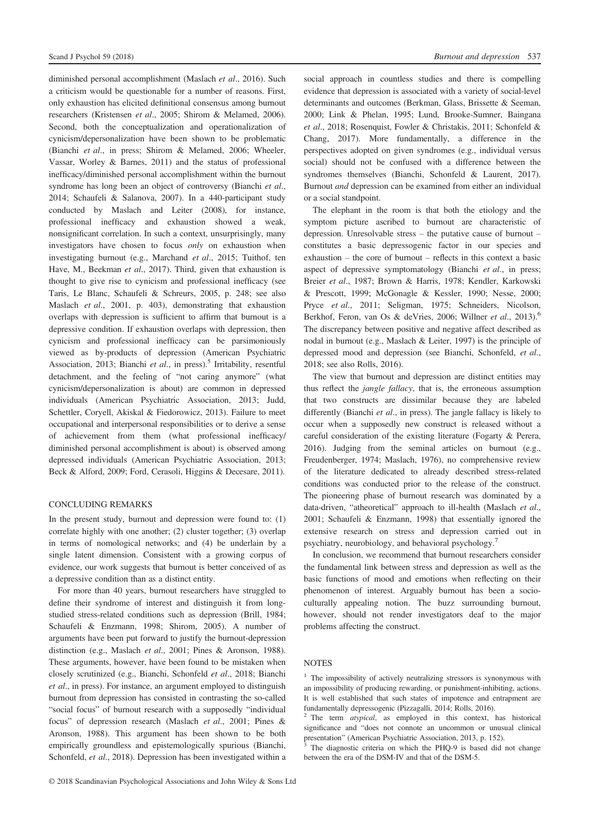diminished personal accomplishment (Maslach et al., 2016). Such a criticism would be questionable for a number of reasons. First, only exhaustion has elicited definitional consensus among burnout researchers (Kristensen et al., 2005; Shirom & Melamed, 2006). Second, both the conceptualization and operationalization of cynicism/depersonalization have been shown to be problematic (Bianchi et al., in press; Shirom & Melamed, 2006; Wheeler, Vassar, Worley & Barnes, 2011) and the status of professional inefficacy/diminished personal accomplishment within the burnout syndrome has long been an object of controversy (Bianchi et al., 2014; Schaufeli & Salanova, 2007). In a 440-participant study conducted by Maslach and Leiter (2008), for instance, professional inefficacy and exhaustion showed a weak, nonsignificant correlation. In such a context, unsurprisingly, many investigators have chosen to focus only on exhaustion when investigating burnout (e.g., Marchand et al., 2015; Tuithof, ten Have, M., Beekman et al., 2017). Third, given that exhaustion is thought to give rise to cynicism and professional inefficacy (see Taris, Le Blanc, Schaufeli & Schreurs, 2005, p. 248; see also Maslach et al., 2001, p. 403), demonstrating that exhaustion overlaps with depression is sufficient to affirm that burnout is a depressive condition. If exhaustion overlaps with depression, then cynicism and professional inefficacy can be parsimoniously viewed as by-products of depression (American Psychiatric Association, 2013; Bianchi et al., in press).<sup>5</sup> Irritability, resentful detachment, and the feeling of "not caring anymore" (what cynicism/depersonalization is about) are common in depressed individuals (American Psychiatric Association, 2013; Judd, Schettler, Coryell, Akiskal & Fiedorowicz, 2013). Failure to meet occupational and interpersonal responsibilities or to derive a sense of achievement from them (what professional inefficacy/ diminished personal accomplishment is about) is observed among depressed individuals (American Psychiatric Association, 2013; Beck & Alford, 2009; Ford, Cerasoli, Higgins & Decesare, 2011).

# CONCLUDING REMARKS

In the present study, burnout and depression were found to: (1) correlate highly with one another; (2) cluster together; (3) overlap in terms of nomological networks; and (4) be underlain by a single latent dimension. Consistent with a growing corpus of evidence, our work suggests that burnout is better conceived of as a depressive condition than as a distinct entity.

For more than 40 years, burnout researchers have struggled to define their syndrome of interest and distinguish it from longstudied stress-related conditions such as depression (Brill, 1984; Schaufeli & Enzmann, 1998; Shirom, 2005). A number of arguments have been put forward to justify the burnout-depression distinction (e.g., Maslach et al., 2001; Pines & Aronson, 1988). These arguments, however, have been found to be mistaken when closely scrutinized (e.g., Bianchi, Schonfeld et al., 2018; Bianchi et al., in press). For instance, an argument employed to distinguish burnout from depression has consisted in contrasting the so-called "social focus" of burnout research with a supposedly "individual focus" of depression research (Maslach et al., 2001; Pines & Aronson, 1988). This argument has been shown to be both empirically groundless and epistemologically spurious (Bianchi, Schonfeld, et al., 2018). Depression has been investigated within a social approach in countless studies and there is compelling evidence that depression is associated with a variety of social-level determinants and outcomes (Berkman, Glass, Brissette & Seeman, 2000; Link & Phelan, 1995; Lund, Brooke-Sumner, Baingana et al., 2018; Rosenquist, Fowler & Christakis, 2011; Schonfeld & Chang, 2017). More fundamentally, a difference in the perspectives adopted on given syndromes (e.g., individual versus social) should not be confused with a difference between the syndromes themselves (Bianchi, Schonfeld & Laurent, 2017). Burnout and depression can be examined from either an individual or a social standpoint.

The elephant in the room is that both the etiology and the symptom picture ascribed to burnout are characteristic of depression. Unresolvable stress – the putative cause of burnout – constitutes a basic depressogenic factor in our species and exhaustion – the core of burnout – reflects in this context a basic aspect of depressive symptomatology (Bianchi et al., in press; Breier et al., 1987; Brown & Harris, 1978; Kendler, Karkowski & Prescott, 1999; McGonagle & Kessler, 1990; Nesse, 2000; Pryce et al., 2011; Seligman, 1975; Schneiders, Nicolson, Berkhof, Feron, van Os & deVries, 2006; Willner et al., 2013).<sup>6</sup> The discrepancy between positive and negative affect described as nodal in burnout (e.g., Maslach & Leiter, 1997) is the principle of depressed mood and depression (see Bianchi, Schonfeld, et al., 2018; see also Rolls, 2016).

The view that burnout and depression are distinct entities may thus reflect the jangle fallacy, that is, the erroneous assumption that two constructs are dissimilar because they are labeled differently (Bianchi et al., in press). The jangle fallacy is likely to occur when a supposedly new construct is released without a careful consideration of the existing literature (Fogarty & Perera, 2016). Judging from the seminal articles on burnout (e.g., Freudenberger, 1974; Maslach, 1976), no comprehensive review of the literature dedicated to already described stress-related conditions was conducted prior to the release of the construct. The pioneering phase of burnout research was dominated by a data-driven, "atheoretical" approach to ill-health (Maslach et al., 2001; Schaufeli & Enzmann, 1998) that essentially ignored the extensive research on stress and depression carried out in psychiatry, neurobiology, and behavioral psychology.7

In conclusion, we recommend that burnout researchers consider the fundamental link between stress and depression as well as the basic functions of mood and emotions when reflecting on their phenomenon of interest. Arguably burnout has been a socioculturally appealing notion. The buzz surrounding burnout, however, should not render investigators deaf to the major problems affecting the construct.

# **NOTES**

<sup>&</sup>lt;sup>1</sup> The impossibility of actively neutralizing stressors is synonymous with an impossibility of producing rewarding, or punishment-inhibiting, actions. It is well established that such states of impotence and entrapment are fundamentally depressogenic (Pizzagalli, 2014; Rolls, 2016).

 $2$  The term *atypical*, as employed in this context, has historical significance and "does not connote an uncommon or unusual clinical presentation" (American Psychiatric Association, 2013, p. 152).

The diagnostic criteria on which the PHQ-9 is based did not change between the era of the DSM-IV and that of the DSM-5.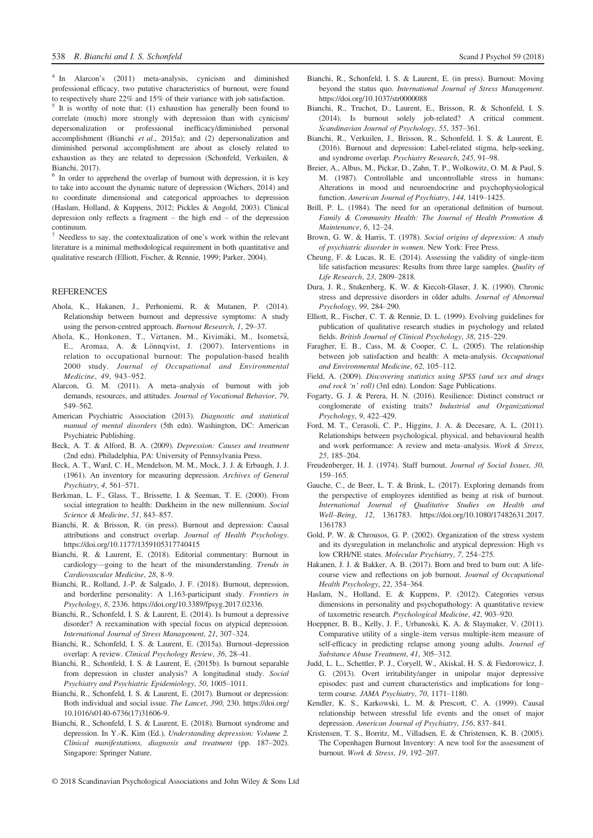<sup>4</sup> In Alarcon's (2011) meta-analysis, cynicism and diminished professional efficacy, two putative characteristics of burnout, were found to respectively share 22% and 15% of their variance with job satisfaction.

It is worthy of note that: (1) exhaustion has generally been found to correlate (much) more strongly with depression than with cynicism/ depersonalization or professional inefficacy/diminished personal accomplishment (Bianchi et al., 2015a); and (2) depersonalization and diminished personal accomplishment are about as closely related to exhaustion as they are related to depression (Schonfeld, Verkuilen, & Bianchi, 2017).

<sup>6</sup> In order to apprehend the overlap of burnout with depression, it is key to take into account the dynamic nature of depression (Wichers, 2014) and to coordinate dimensional and categorical approaches to depression (Haslam, Holland, & Kuppens, 2012; Pickles & Angold, 2003). Clinical depression only reflects a fragment – the high end – of the depression continuum.

Needless to say, the contextualization of one's work within the relevant literature is a minimal methodological requirement in both quantitative and qualitative research (Elliott, Fischer, & Rennie, 1999; Parker, 2004).

# **REFERENCES**

- Ahola, K., Hakanen, J., Perhoniemi, R. & Mutanen, P. (2014). Relationship between burnout and depressive symptoms: A study using the person-centred approach. Burnout Research, 1, 29–37.
- Ahola, K., Honkonen, T., Virtanen, M., Kivimäki, M., Isometsä, E., Aromaa, A. & Lönnqvist, J. (2007). Interventions in relation to occupational burnout: The population-based health 2000 study. Journal of Occupational and Environmental Medicine, 49, 943–952.
- Alarcon, G. M. (2011). A meta–analysis of burnout with job demands, resources, and attitudes. Journal of Vocational Behavior, 79, 549–562.
- American Psychiatric Association (2013). Diagnostic and statistical manual of mental disorders (5th edn). Washington, DC: American Psychiatric Publishing.
- Beck, A. T. & Alford, B. A. (2009). Depression: Causes and treatment (2nd edn). Philadelphia, PA: University of Pennsylvania Press.
- Beck, A. T., Ward, C. H., Mendelson, M. M., Mock, J. J. & Erbaugh, J. J. (1961). An inventory for measuring depression. Archives of General Psychiatry, 4, 561–571.
- Berkman, L. F., Glass, T., Brissette, I. & Seeman, T. E. (2000). From social integration to health: Durkheim in the new millennium. Social Science & Medicine, 51, 843–857.
- Bianchi, R. & Brisson, R. (in press). Burnout and depression: Causal attributions and construct overlap. Journal of Health Psychology. <https://doi.org/10.1177/1359105317740415>
- Bianchi, R. & Laurent, E. (2018). Editorial commentary: Burnout in cardiology—going to the heart of the misunderstanding. Trends in Cardiovascular Medicine, 28, 8–9.
- Bianchi, R., Rolland, J.-P. & Salgado, J. F. (2018). Burnout, depression, and borderline personality: A 1,163-participant study. Frontiers in Psychology, 8, 2336.<https://doi.org/10.3389/fpsyg.2017.02336>.
- Bianchi, R., Schonfeld, I. S. & Laurent, E. (2014). Is burnout a depressive disorder? A reexamination with special focus on atypical depression. International Journal of Stress Management, 21, 307–324.
- Bianchi, R., Schonfeld, I. S. & Laurent, E. (2015a). Burnout–depression overlap: A review. Clinical Psychology Review, 36, 28–41.
- Bianchi, R., Schonfeld, I. S. & Laurent, E. (2015b). Is burnout separable from depression in cluster analysis? A longitudinal study. Social Psychiatry and Psychiatric Epidemiology, 50, 1005–1011.
- Bianchi, R., Schonfeld, I. S. & Laurent, E. (2017). Burnout or depression: Both individual and social issue. The Lancet, 390, 230. [https://doi.org/](https://doi.org/10.1016/s0140-6736(17)31606-9) [10.1016/s0140-6736\(17\)31606-9.](https://doi.org/10.1016/s0140-6736(17)31606-9)
- Bianchi, R., Schonfeld, I. S. & Laurent, E. (2018). Burnout syndrome and depression. In Y.-K. Kim (Ed.), Understanding depression: Volume 2. Clinical manifestations, diagnosis and treatment (pp. 187–202). Singapore: Springer Nature.
- Bianchi, R., Schonfeld, I. S. & Laurent, E. (in press). Burnout: Moving beyond the status quo. International Journal of Stress Management. <https://doi.org/10.1037/str0000088>
- Bianchi, R., Truchot, D., Laurent, E., Brisson, R. & Schonfeld, I. S. (2014). Is burnout solely job-related? A critical comment. Scandinavian Journal of Psychology, 55, 357–361.
- Bianchi, R., Verkuilen, J., Brisson, R., Schonfeld, I. S. & Laurent, E. (2016). Burnout and depression: Label-related stigma, help-seeking, and syndrome overlap. Psychiatry Research, 245, 91–98.
- Breier, A., Albus, M., Pickar, D., Zahn, T. P., Wolkowitz, O. M. & Paul, S. M. (1987). Controllable and uncontrollable stress in humans: Alterations in mood and neuroendocrine and psychophysiological function. American Journal of Psychiatry, 144, 1419–1425.
- Brill, P. L. (1984). The need for an operational definition of burnout. Family & Community Health: The Journal of Health Promotion & Maintenance, 6, 12–24.
- Brown, G. W. & Harris, T. (1978). Social origins of depression: A study of psychiatric disorder in women. New York: Free Press.
- Cheung, F. & Lucas, R. E. (2014). Assessing the validity of single-item life satisfaction measures: Results from three large samples. Quality of Life Research, 23, 2809–2818.
- Dura, J. R., Stukenberg, K. W. & Kiecolt-Glaser, J. K. (1990). Chronic stress and depressive disorders in older adults. Journal of Abnormal Psychology, 99, 284–290.
- Elliott, R., Fischer, C. T. & Rennie, D. L. (1999). Evolving guidelines for publication of qualitative research studies in psychology and related fields. British Journal of Clinical Psychology, 38, 215–229.
- Faragher, E. B., Cass, M. & Cooper, C. L. (2005). The relationship between job satisfaction and health: A meta-analysis. Occupational and Environmental Medicine, 62, 105–112.
- Field, A. (2009). Discovering statistics using SPSS (and sex and drugs and rock 'n' roll) (3rd edn). London: Sage Publications.
- Fogarty, G. J. & Perera, H. N. (2016). Resilience: Distinct construct or conglomerate of existing traits? Industrial and Organizational Psychology, 9, 422–429.
- Ford, M. T., Cerasoli, C. P., Higgins, J. A. & Decesare, A. L. (2011). Relationships between psychological, physical, and behavioural health and work performance: A review and meta–analysis. Work & Stress, 25, 185–204.
- Freudenberger, H. J. (1974). Staff burnout. Journal of Social Issues, 30, 159–165.
- Gauche, C., de Beer, L. T. & Brink, L. (2017). Exploring demands from the perspective of employees identified as being at risk of burnout. International Journal of Qualitative Studies on Health and Well–Being, 12, 1361783. [https://doi.org/10.1080/17482631.2017.](https://doi.org/10.1080/17482631.2017.1361783) [1361783](https://doi.org/10.1080/17482631.2017.1361783)
- Gold, P. W. & Chrousos, G. P. (2002). Organization of the stress system and its dysregulation in melancholic and atypical depression: High vs low CRH/NE states. Molecular Psychiatry, 7, 254–275.
- Hakanen, J. J. & Bakker, A. B. (2017). Born and bred to burn out: A lifecourse view and reflections on job burnout. Journal of Occupational Health Psychology, 22, 354–364.
- Haslam, N., Holland, E. & Kuppens, P. (2012). Categories versus dimensions in personality and psychopathology: A quantitative review of taxometric research. Psychological Medicine, 42, 903–920.
- Hoeppner, B. B., Kelly, J. F., Urbanoski, K. A. & Slaymaker, V. (2011). Comparative utility of a single–item versus multiple-item measure of self-efficacy in predicting relapse among young adults. Journal of Substance Abuse Treatment, 41, 305–312.
- Judd, L. L., Schettler, P. J., Coryell, W., Akiskal, H. S. & Fiedorowicz, J. G. (2013). Overt irritability/anger in unipolar major depressive episodes: past and current characteristics and implications for long– term course. JAMA Psychiatry, 70, 1171–1180.
- Kendler, K. S., Karkowski, L. M. & Prescott, C. A. (1999). Causal relationship between stressful life events and the onset of major depression. American Journal of Psychiatry, 156, 837–841.
- Kristensen, T. S., Borritz, M., Villadsen, E. & Christensen, K. B. (2005). The Copenhagen Burnout Inventory: A new tool for the assessment of burnout. Work & Stress, 19, 192–207.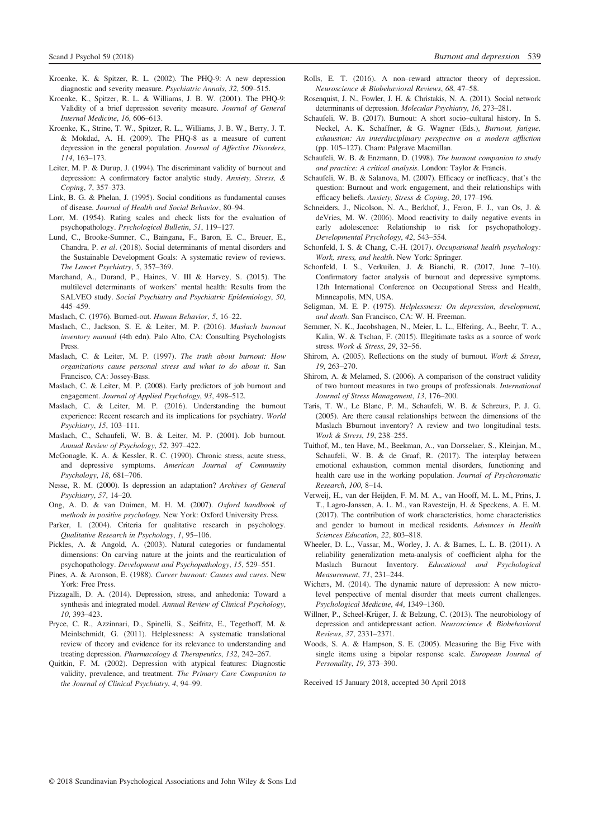- Kroenke, K. & Spitzer, R. L. (2002). The PHQ-9: A new depression diagnostic and severity measure. Psychiatric Annals, 32, 509–515.
- Kroenke, K., Spitzer, R. L. & Williams, J. B. W. (2001). The PHQ-9: Validity of a brief depression severity measure. Journal of General Internal Medicine, 16, 606–613.
- Kroenke, K., Strine, T. W., Spitzer, R. L., Williams, J. B. W., Berry, J. T. & Mokdad, A. H. (2009). The PHQ-8 as a measure of current depression in the general population. Journal of Affective Disorders, 114, 163–173.
- Leiter, M. P. & Durup, J. (1994). The discriminant validity of burnout and depression: A confirmatory factor analytic study. Anxiety, Stress, & Coping, 7, 357–373.
- Link, B. G. & Phelan, J. (1995). Social conditions as fundamental causes of disease. Journal of Health and Social Behavior, 80–94.
- Lorr, M. (1954). Rating scales and check lists for the evaluation of psychopathology. Psychological Bulletin, 51, 119–127.
- Lund, C., Brooke-Sumner, C., Baingana, F., Baron, E. C., Breuer, E., Chandra, P. et al. (2018). Social determinants of mental disorders and the Sustainable Development Goals: A systematic review of reviews. The Lancet Psychiatry, 5, 357–369.
- Marchand, A., Durand, P., Haines, V. III & Harvey, S. (2015). The multilevel determinants of workers' mental health: Results from the SALVEO study. Social Psychiatry and Psychiatric Epidemiology, 50, 445–459.
- Maslach, C. (1976). Burned-out. Human Behavior, 5, 16–22.
- Maslach, C., Jackson, S. E. & Leiter, M. P. (2016). Maslach burnout inventory manual (4th edn). Palo Alto, CA: Consulting Psychologists Press.
- Maslach, C. & Leiter, M. P. (1997). The truth about burnout: How organizations cause personal stress and what to do about it. San Francisco, CA: Jossey-Bass.
- Maslach, C. & Leiter, M. P. (2008). Early predictors of job burnout and engagement. Journal of Applied Psychology, 93, 498–512.
- Maslach, C. & Leiter, M. P. (2016). Understanding the burnout experience: Recent research and its implications for psychiatry. World Psychiatry, 15, 103–111.
- Maslach, C., Schaufeli, W. B. & Leiter, M. P. (2001). Job burnout. Annual Review of Psychology, 52, 397–422.
- McGonagle, K. A. & Kessler, R. C. (1990). Chronic stress, acute stress, and depressive symptoms. American Journal of Community Psychology, 18, 681–706.
- Nesse, R. M. (2000). Is depression an adaptation? Archives of General Psychiatry, 57, 14–20.
- Ong, A. D. & van Duimen, M. H. M. (2007). Oxford handbook of methods in positive psychology. New York: Oxford University Press.
- Parker, I. (2004). Criteria for qualitative research in psychology. Qualitative Research in Psychology, 1, 95–106.
- Pickles, A. & Angold, A. (2003). Natural categories or fundamental dimensions: On carving nature at the joints and the rearticulation of psychopathology. Development and Psychopathology, 15, 529–551.
- Pines, A. & Aronson, E. (1988). Career burnout: Causes and cures. New York: Free Press.
- Pizzagalli, D. A. (2014). Depression, stress, and anhedonia: Toward a synthesis and integrated model. Annual Review of Clinical Psychology, 10, 393–423.
- Pryce, C. R., Azzinnari, D., Spinelli, S., Seifritz, E., Tegethoff, M. & Meinlschmidt, G. (2011). Helplessness: A systematic translational review of theory and evidence for its relevance to understanding and treating depression. Pharmacology & Therapeutics, 132, 242–267.
- Quitkin, F. M. (2002). Depression with atypical features: Diagnostic validity, prevalence, and treatment. The Primary Care Companion to the Journal of Clinical Psychiatry, 4, 94–99.
- Rolls, E. T. (2016). A non–reward attractor theory of depression. Neuroscience & Biobehavioral Reviews, 68, 47–58.
- Rosenquist, J. N., Fowler, J. H. & Christakis, N. A. (2011). Social network determinants of depression. Molecular Psychiatry, 16, 273–281.
- Schaufeli, W. B. (2017). Burnout: A short socio–cultural history. In S. Neckel, A. K. Schaffner, & G. Wagner (Eds.), Burnout, fatigue, exhaustion: An interdisciplinary perspective on a modern affliction (pp. 105–127). Cham: Palgrave Macmillan.
- Schaufeli, W. B. & Enzmann, D. (1998). The burnout companion to study and practice: A critical analysis. London: Taylor & Francis.
- Schaufeli, W. B. & Salanova, M. (2007). Efficacy or inefficacy, that's the question: Burnout and work engagement, and their relationships with efficacy beliefs. Anxiety, Stress & Coping, 20, 177–196.
- Schneiders, J., Nicolson, N. A., Berkhof, J., Feron, F. J., van Os, J. & deVries, M. W. (2006). Mood reactivity to daily negative events in early adolescence: Relationship to risk for psychopathology. Developmental Psychology, 42, 543–554.
- Schonfeld, I. S. & Chang, C.-H. (2017). Occupational health psychology: Work, stress, and health. New York: Springer.
- Schonfeld, I. S., Verkuilen, J. & Bianchi, R. (2017, June 7–10). Confirmatory factor analysis of burnout and depressive symptoms. 12th International Conference on Occupational Stress and Health, Minneapolis, MN, USA.
- Seligman, M. E. P. (1975). Helplessness: On depression, development, and death. San Francisco, CA: W. H. Freeman.
- Semmer, N. K., Jacobshagen, N., Meier, L. L., Elfering, A., Beehr, T. A., Kalin, W. & Tschan, F. (2015). Illegitimate tasks as a source of work stress. Work & Stress, 29, 32–56.
- Shirom, A. (2005). Reflections on the study of burnout. Work & Stress, 19, 263–270.
- Shirom, A. & Melamed, S. (2006). A comparison of the construct validity of two burnout measures in two groups of professionals. International Journal of Stress Management, 13, 176–200.
- Taris, T. W., Le Blanc, P. M., Schaufeli, W. B. & Schreurs, P. J. G. (2005). Are there causal relationships between the dimensions of the Maslach Bburnout inventory? A review and two longitudinal tests. Work & Stress, 19, 238–255.
- Tuithof, M., ten Have, M., Beekman, A., van Dorsselaer, S., Kleinjan, M., Schaufeli, W. B. & de Graaf, R. (2017). The interplay between emotional exhaustion, common mental disorders, functioning and health care use in the working population. Journal of Psychosomatic Research, 100, 8–14.
- Verweij, H., van der Heijden, F. M. M. A., van Hooff, M. L. M., Prins, J. T., Lagro-Janssen, A. L. M., van Ravesteijn, H. & Speckens, A. E. M. (2017). The contribution of work characteristics, home characteristics and gender to burnout in medical residents. Advances in Health Sciences Education, 22, 803–818.
- Wheeler, D. L., Vassar, M., Worley, J. A. & Barnes, L. L. B. (2011). A reliability generalization meta-analysis of coefficient alpha for the Maslach Burnout Inventory. Educational and Psychological Measurement, 71, 231–244.
- Wichers, M. (2014). The dynamic nature of depression: A new microlevel perspective of mental disorder that meets current challenges. Psychological Medicine, 44, 1349–1360.
- Willner, P., Scheel-Krüger, J. & Belzung, C. (2013). The neurobiology of depression and antidepressant action. Neuroscience & Biobehavioral Reviews, 37, 2331–2371.
- Woods, S. A. & Hampson, S. E. (2005). Measuring the Big Five with single items using a bipolar response scale. European Journal of Personality, 19, 373–390.

Received 15 January 2018, accepted 30 April 2018